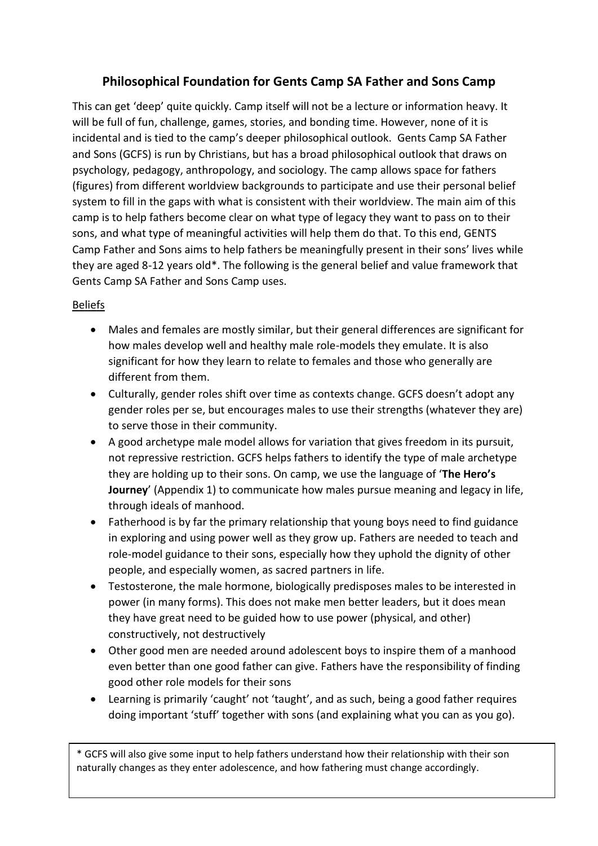# **Philosophical Foundation for Gents Camp SA Father and Sons Camp**

This can get 'deep' quite quickly. Camp itself will not be a lecture or information heavy. It will be full of fun, challenge, games, stories, and bonding time. However, none of it is incidental and is tied to the camp's deeper philosophical outlook. Gents Camp SA Father and Sons (GCFS) is run by Christians, but has a broad philosophical outlook that draws on psychology, pedagogy, anthropology, and sociology. The camp allows space for fathers (figures) from different worldview backgrounds to participate and use their personal belief system to fill in the gaps with what is consistent with their worldview. The main aim of this camp is to help fathers become clear on what type of legacy they want to pass on to their sons, and what type of meaningful activities will help them do that. To this end, GENTS Camp Father and Sons aims to help fathers be meaningfully present in their sons' lives while they are aged 8-12 years old\*. The following is the general belief and value framework that Gents Camp SA Father and Sons Camp uses.

### Beliefs

- Males and females are mostly similar, but their general differences are significant for how males develop well and healthy male role-models they emulate. It is also significant for how they learn to relate to females and those who generally are different from them.
- Culturally, gender roles shift over time as contexts change. GCFS doesn't adopt any gender roles per se, but encourages males to use their strengths (whatever they are) to serve those in their community.
- A good archetype male model allows for variation that gives freedom in its pursuit, not repressive restriction. GCFS helps fathers to identify the type of male archetype they are holding up to their sons. On camp, we use the language of '**The Hero's Journey**' (Appendix 1) to communicate how males pursue meaning and legacy in life, through ideals of manhood.
- Fatherhood is by far the primary relationship that young boys need to find guidance in exploring and using power well as they grow up. Fathers are needed to teach and role-model guidance to their sons, especially how they uphold the dignity of other people, and especially women, as sacred partners in life.
- Testosterone, the male hormone, biologically predisposes males to be interested in power (in many forms). This does not make men better leaders, but it does mean they have great need to be guided how to use power (physical, and other) constructively, not destructively
- Other good men are needed around adolescent boys to inspire them of a manhood even better than one good father can give. Fathers have the responsibility of finding good other role models for their sons
- Learning is primarily 'caught' not 'taught', and as such, being a good father requires doing important 'stuff' together with sons (and explaining what you can as you go).

\* GCFS will also give some input to help fathers understand how their relationship with their son naturally changes as they enter adolescence, and how fathering must change accordingly.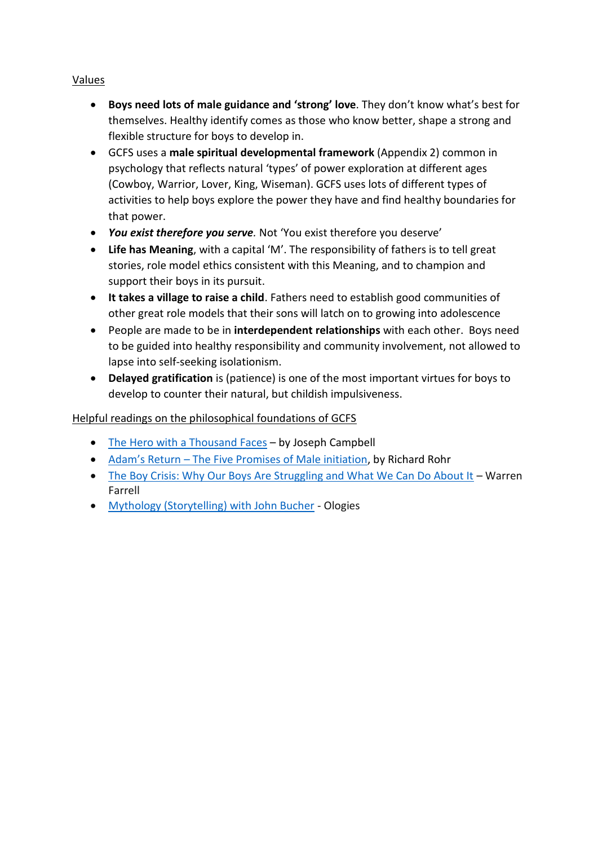#### Values

- **Boys need lots of male guidance and 'strong' love**. They don't know what's best for themselves. Healthy identify comes as those who know better, shape a strong and flexible structure for boys to develop in.
- GCFS uses a **male spiritual developmental framework** (Appendix 2) common in psychology that reflects natural 'types' of power exploration at different ages (Cowboy, Warrior, Lover, King, Wiseman). GCFS uses lots of different types of activities to help boys explore the power they have and find healthy boundaries for that power.
- *You exist therefore you serve.* Not 'You exist therefore you deserve'
- **Life has Meaning**, with a capital 'M'. The responsibility of fathers is to tell great stories, role model ethics consistent with this Meaning, and to champion and support their boys in its pursuit.
- **It takes a village to raise a child**. Fathers need to establish good communities of other great role models that their sons will latch on to growing into adolescence
- People are made to be in **interdependent relationships** with each other. Boys need to be guided into healthy responsibility and community involvement, not allowed to lapse into self-seeking isolationism.
- **Delayed gratification** is (patience) is one of the most important virtues for boys to develop to counter their natural, but childish impulsiveness.

## Helpful readings on the philosophical foundations of GCFS

- [The Hero with a Thousand Faces](https://www.amazon.com/Brilliance-Audio-Hero-Thousand-Faces/dp/B01BFBXOM8/ref=sr_1_1?keywords=the+hero+with+a+thousand+faces&qid=1551669053&s=digital-text&sr=1-1) by Joseph Campbell
- Adam's Return [The Five Promises of Male initiation,](https://www.amazon.com/Adams-Return-Five-Promises-Initiation-ebook/dp/B074WC5LWN/ref=sr_1_1?keywords=adams+return&qid=1551669027&s=digital-text&sr=1-1) by Richard Rohr
- [The Boy Crisis: Why Our Boys Are Struggling and What We Can Do About It](https://www.amazon.com/Boy-Crisis-Boys-Struggling-About-ebook/dp/B01N4UAA8I/ref=tmm_kin_swatch_0?_encoding=UTF8&qid=&sr=) Warren Farrell
- [Mythology \(Storytelling\) with John Bucher](https://art19.com/shows/ologies-fb/episodes/3ce013df-700f-4a1b-93a7-7f7aab929539) Ologies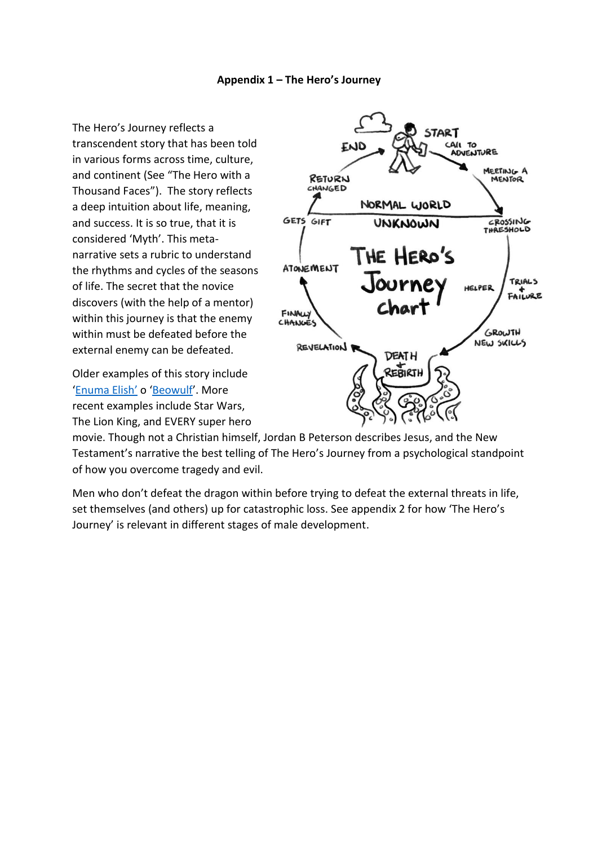#### **Appendix 1 – The Hero's Journey**

The Hero's Journey reflects a transcendent story that has been told in various forms across time, culture, and continent (See "The Hero with a Thousand Faces"). The story reflects a deep intuition about life, meaning, and success. It is so true, that it is considered 'Myth'. This metanarrative sets a rubric to understand the rhythms and cycles of the seasons of life. The secret that the novice discovers (with the help of a mentor) within this journey is that the enemy within must be defeated before the external enemy can be defeated.

Older examples of this story include '[Enuma Elish](https://study.com/academy/lesson/enuma-elish-summary-text-quiz.html)' o '[Beowulf](https://en.wikipedia.org/wiki/Beowulf)'. More recent examples include Star Wars, The Lion King, and EVERY super hero



movie. Though not a Christian himself, Jordan B Peterson describes Jesus, and the New Testament's narrative the best telling of The Hero's Journey from a psychological standpoint of how you overcome tragedy and evil.

Men who don't defeat the dragon within before trying to defeat the external threats in life, set themselves (and others) up for catastrophic loss. See appendix 2 for how 'The Hero's Journey' is relevant in different stages of male development.